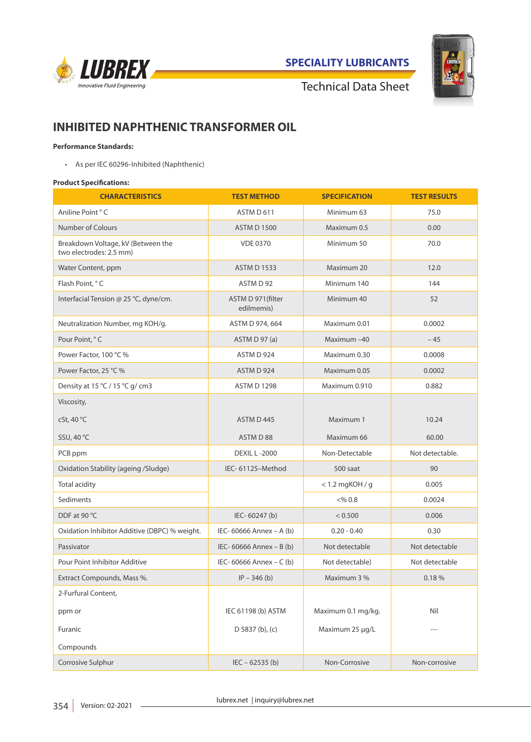

**SPECIALITY LUBRICANTS**



Technical Data Sheet

# **INHIBITED NAPHTHENIC TRANSFORMER OIL**

# **Performance Standards:**

• As per IEC 60296-Inhibited (Naphthenic)

### **Product Specifications:**

| <b>CHARACTERISTICS</b>                                        | <b>TEST METHOD</b>              | <b>SPECIFICATION</b> | <b>TEST RESULTS</b> |
|---------------------------------------------------------------|---------------------------------|----------------------|---------------------|
| Aniline Point ° C                                             | ASTM D 611                      | Minimum 63           | 75.0                |
| Number of Colours                                             | <b>ASTM D 1500</b>              | Maximum 0.5          | 0.00                |
| Breakdown Voltage, kV (Between the<br>two electrodes: 2.5 mm) | <b>VDE 0370</b>                 | Minimum 50           | 70.0                |
| Water Content, ppm                                            | <b>ASTM D 1533</b>              | Maximum 20           | 12.0                |
| Flash Point. °C                                               | ASTM D 92                       | Minimum 140          | 144                 |
| Interfacial Tension @ 25 °C, dyne/cm.                         | ASTM D 971(filter<br>edilmemis) | Minimum 40           | 52                  |
| Neutralization Number, mg KOH/g.                              | ASTM D 974, 664                 | Maximum 0.01         | 0.0002              |
| Pour Point, °C                                                | ASTM D 97 (a)                   | Maximum-40           | $-45$               |
| Power Factor, 100 °C %                                        | ASTM D 924                      | Maximum 0.30         | 0.0008              |
| Power Factor, 25 °C %                                         | ASTM D 924                      | Maximum 0.05         | 0.0002              |
| Density at 15 °C / 15 °C g/ cm3                               | <b>ASTM D 1298</b>              | Maximum 0.910        | 0.882               |
| Viscosity,                                                    |                                 |                      |                     |
| cSt, 40 °C                                                    | ASTM D 445                      | Maximum 1            | 10.24               |
| SSU, 40 °C                                                    | ASTM D 88                       | Maximum 66           | 60.00               |
| PCB ppm                                                       | <b>DEXIL L-2000</b>             | Non-Detectable       | Not detectable.     |
| Oxidation Stability (ageing /Sludge)                          | IEC-61125-Method                | 500 saat             | 90                  |
| Total acidity                                                 |                                 | $< 1.2$ mgKOH / g    | 0.005               |
| Sediments                                                     |                                 | $<\frac{96}{6}$ 0.8  | 0.0024              |
| DDF at 90 °C                                                  | IEC-60247 (b)                   | < 0.500              | 0.006               |
| Oxidation Inhibitor Additive (DBPC) % weight.                 | IEC- 60666 Annex - A (b)        | $0.20 - 0.40$        | 0.30                |
| Passivator                                                    | IEC- 60666 Annex - B (b)        | Not detectable       | Not detectable      |
| Pour Point Inhibitor Additive                                 | IEC- 60666 Annex - C (b)        | Not detectable)      | Not detectable      |
| Extract Compounds, Mass %.                                    | $IP - 346$ (b)                  | Maximum 3 %          | 0.18%               |
| 2-Furfural Content.                                           |                                 |                      |                     |
| ppm or                                                        | IEC 61198 (b) ASTM              | Maximum 0.1 mg/kg.   | Nil                 |
| Furanic                                                       | $D$ 5837 (b), (c)               | Maximum 25 µg/L      |                     |
| Compounds                                                     |                                 |                      |                     |
| Corrosive Sulphur                                             | $IEC - 62535(b)$                | Non-Corrosive        | Non-corrosive       |